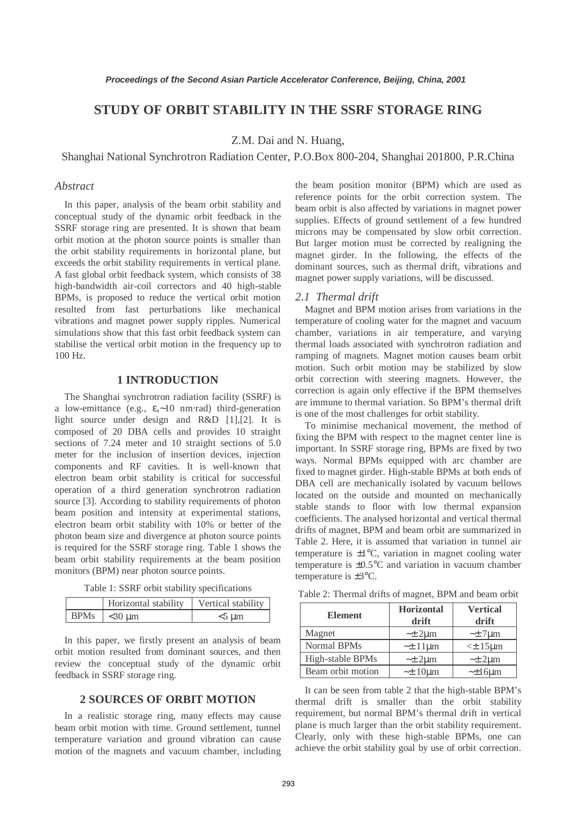# **STUDY OF ORBIT STABILITY IN THE SSRF STORAGE RING**

Z.M. Dai and N. Huang,

#### Shanghai National Synchrotron Radiation Center, P.O.Box 800-204, Shanghai 201800, P.R.China

## *Abstract*

In this paper, analysis of the beam orbit stability and conceptual study of the dynamic orbit feedback in the SSRF storage ring are presented. It is shown that beam orbit motion at the photon source points is smaller than the orbit stability requirements in horizontal plane, but exceeds the orbit stability requirements in vertical plane. A fast global orbit feedback system, which consists of 38 high-bandwidth air-coil correctors and 40 high-stable BPMs, is proposed to reduce the vertical orbit motion resulted from fast perturbations like mechanical vibrations and magnet power supply ripples. Numerical simulations show that this fast orbit feedback system can stabilise the vertical orbit motion in the frequency up to 100 Hz.

### **1 INTRODUCTION**

The Shanghai synchrotron radiation facility (SSRF) is a low-emittance (e.g.,  $\varepsilon_x \sim 10$  nm⋅rad) third-generation light source under design and R&D [1],[2]. It is composed of 20 DBA cells and provides 10 straight sections of 7.24 meter and 10 straight sections of 5.0 meter for the inclusion of insertion devices, injection components and RF cavities. It is well-known that electron beam orbit stability is critical for successful operation of a third generation synchrotron radiation source [3]. According to stability requirements of photon beam position and intensity at experimental stations, electron beam orbit stability with 10% or better of the photon beam size and divergence at photon source points is required for the SSRF storage ring. Table 1 shows the beam orbit stability requirements at the beam position monitors (BPM) near photon source points.

Table 1: SSRF orbit stability specifications

| Horizontal stability | Vertical stability |
|----------------------|--------------------|
| BPMs $\sim 30 \mu m$ | $5 \text{ }\mu m$  |

In this paper, we firstly present an analysis of beam orbit motion resulted from dominant sources, and then review the conceptual study of the dynamic orbit feedback in SSRF storage ring.

## **2 SOURCES OF ORBIT MOTION**

In a realistic storage ring, many effects may cause beam orbit motion with time. Ground settlement, tunnel temperature variation and ground vibration can cause motion of the magnets and vacuum chamber, including the beam position monitor (BPM) which are used as reference points for the orbit correction system. The beam orbit is also affected by variations in magnet power supplies. Effects of ground settlement of a few hundred microns may be compensated by slow orbit correction. But larger motion must be corrected by realigning the magnet girder. In the following, the effects of the dominant sources, such as thermal drift, vibrations and magnet power supply variations, will be discussed.

#### *2.1 Thermal drift*

Magnet and BPM motion arises from variations in the temperature of cooling water for the magnet and vacuum chamber, variations in air temperature, and varying thermal loads associated with synchrotron radiation and ramping of magnets. Magnet motion causes beam orbit motion. Such orbit motion may be stabilized by slow orbit correction with steering magnets. However, the correction is again only effective if the BPM themselves are immune to thermal variation. So BPM's thermal drift is one of the most challenges for orbit stability.

To minimise mechanical movement, the method of fixing the BPM with respect to the magnet center line is important. In SSRF storage ring, BPMs are fixed by two ways. Normal BPMs equipped with arc chamber are fixed to magnet girder. High-stable BPMs at both ends of DBA cell are mechanically isolated by vacuum bellows located on the outside and mounted on mechanically stable stands to floor with low thermal expansion coefficients. The analysed horizontal and vertical thermal drifts of magnet, BPM and beam orbit are summarized in Table 2. Here, it is assumed that variation in tunnel air temperature is  $\pm 1^{\circ}$ C, variation in magnet cooling water temperature is ±0.5°C and variation in vacuum chamber temperature is ±3°C.

| <b>Element</b>     | <b>Horizontal</b><br>drift | <b>Vertical</b><br>drift |  |
|--------------------|----------------------------|--------------------------|--|
| Magnet             | $-\pm 2 \mu m$             | $\sim\pm7$ um            |  |
| <b>Normal BPMs</b> | $\sim\pm 11 \mu m$         | $<\pm$ 15 $\mu$ m        |  |
| High-stable BPMs   | $\sim\pm 2 \mu m$          | $\sim\pm 2 \mu m$        |  |
| Beam orbit motion  | $\sim\pm 10 \mu m$         | $\sim\pm16$ um           |  |

Table 2: Thermal drifts of magnet, BPM and beam orbit

It can be seen from table 2 that the high-stable BPM's thermal drift is smaller than the orbit stability requirement, but normal BPM's thermal drift in vertical plane is much larger than the orbit stability requirement. Clearly, only with these high-stable BPMs, one can achieve the orbit stability goal by use of orbit correction.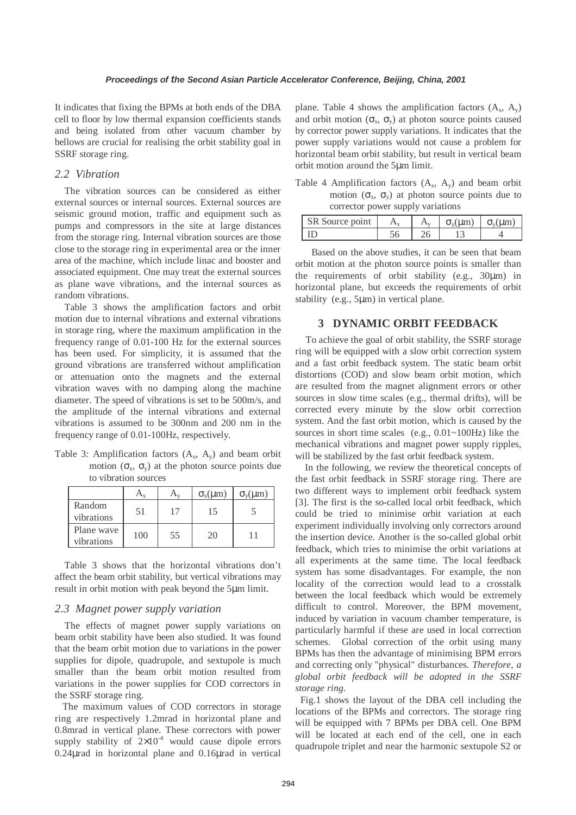It indicates that fixing the BPMs at both ends of the DBA cell to floor by low thermal expansion coefficients stands and being isolated from other vacuum chamber by bellows are crucial for realising the orbit stability goal in SSRF storage ring.

### *2.2 Vibration*

The vibration sources can be considered as either external sources or internal sources. External sources are seismic ground motion, traffic and equipment such as pumps and compressors in the site at large distances from the storage ring. Internal vibration sources are those close to the storage ring in experimental area or the inner area of the machine, which include linac and booster and associated equipment. One may treat the external sources as plane wave vibrations, and the internal sources as random vibrations.

Table 3 shows the amplification factors and orbit motion due to internal vibrations and external vibrations in storage ring, where the maximum amplification in the frequency range of 0.01-100 Hz for the external sources has been used. For simplicity, it is assumed that the ground vibrations are transferred without amplification or attenuation onto the magnets and the external vibration waves with no damping along the machine diameter. The speed of vibrations is set to be 500m/s, and the amplitude of the internal vibrations and external vibrations is assumed to be 300nm and 200 nm in the frequency range of 0.01-100Hz, respectively.

Table 3: Amplification factors  $(A_x, A_y)$  and beam orbit motion  $(\sigma_x, \sigma_y)$  at the photon source points due to vibration sources

|                          |     |    | $\sigma_{\rm x}(\mu \rm m)$ | $\sigma_{v}(\mu m)$ |
|--------------------------|-----|----|-----------------------------|---------------------|
| Random<br>vibrations     | 51  | 17 | 15                          |                     |
| Plane wave<br>vibrations | 100 | 55 | 20                          |                     |

Table 3 shows that the horizontal vibrations don't affect the beam orbit stability, but vertical vibrations may result in orbit motion with peak beyond the 5µm limit.

## *2.3 Magnet power supply variation*

The effects of magnet power supply variations on beam orbit stability have been also studied. It was found that the beam orbit motion due to variations in the power supplies for dipole, quadrupole, and sextupole is much smaller than the beam orbit motion resulted from variations in the power supplies for COD correctors in the SSRF storage ring.

 The maximum values of COD correctors in storage ring are respectively 1.2mrad in horizontal plane and 0.8mrad in vertical plane. These correctors with power supply stability of  $2\times10^{-4}$  would cause dipole errors 0.24µrad in horizontal plane and 0.16µrad in vertical

plane. Table 4 shows the amplification factors  $(A_x, A_y)$ and orbit motion ( $\sigma_{x}$ ,  $\sigma_{y}$ ) at photon source points caused by corrector power supply variations. It indicates that the power supply variations would not cause a problem for horizontal beam orbit stability, but result in vertical beam orbit motion around the 5µm limit.

Table 4 Amplification factors  $(A_x, A_y)$  and beam orbit motion  $(\sigma_x, \sigma_y)$  at photon source points due to corrector power supply variations

| $\sim$<br>$\mathbb{C} \mathbb{D}$<br>Source point |  | $\sigma$ (IIm | $\tau$ (IIm) |
|---------------------------------------------------|--|---------------|--------------|
|                                                   |  |               |              |

 Based on the above studies, it can be seen that beam orbit motion at the photon source points is smaller than the requirements of orbit stability (e.g., 30µm) in horizontal plane, but exceeds the requirements of orbit stability (e.g., 5µm) in vertical plane.

## **3 DYNAMIC ORBIT FEEDBACK**

 To achieve the goal of orbit stability, the SSRF storage ring will be equipped with a slow orbit correction system and a fast orbit feedback system. The static beam orbit distortions (COD) and slow beam orbit motion, which are resulted from the magnet alignment errors or other sources in slow time scales (e.g., thermal drifts), will be corrected every minute by the slow orbit correction system. And the fast orbit motion, which is caused by the sources in short time scales (e.g.,  $0.01 \sim 100$ Hz) like the mechanical vibrations and magnet power supply ripples, will be stabilized by the fast orbit feedback system.

In the following, we review the theoretical concepts of the fast orbit feedback in SSRF storage ring. There are two different ways to implement orbit feedback system [3]. The first is the so-called local orbit feedback, which could be tried to minimise orbit variation at each experiment individually involving only correctors around the insertion device. Another is the so-called global orbit feedback, which tries to minimise the orbit variations at all experiments at the same time. The local feedback system has some disadvantages. For example, the non locality of the correction would lead to a crosstalk between the local feedback which would be extremely difficult to control. Moreover, the BPM movement, induced by variation in vacuum chamber temperature, is particularly harmful if these are used in local correction schemes. Global correction of the orbit using many BPMs has then the advantage of minimising BPM errors and correcting only "physical" disturbances. *Therefore, a global orbit feedback will be adopted in the SSRF storage ring*.

 Fig.1 shows the layout of the DBA cell including the locations of the BPMs and correctors. The storage ring will be equipped with 7 BPMs per DBA cell. One BPM will be located at each end of the cell, one in each quadrupole triplet and near the harmonic sextupole S2 or